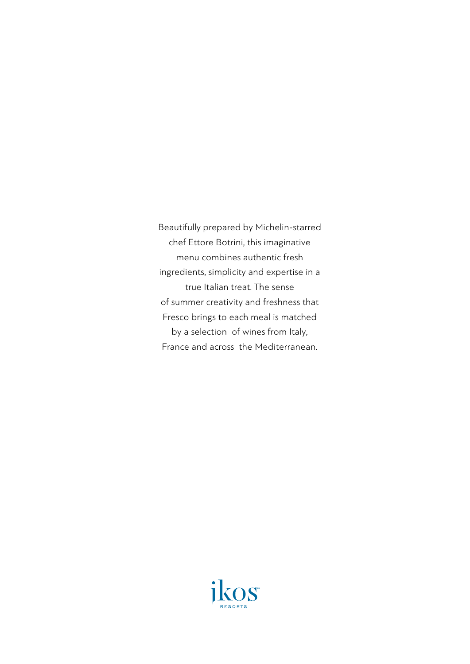Beautifully prepared by Michelin-starred chef Ettore Botrini, this imaginative menu combines authentic fresh ingredients, simplicity and expertise in a true Italian treat. The sense of summer creativity and freshness that Fresco brings to each meal is matched by a selection of wines from Italy, France and across the Mediterranean.

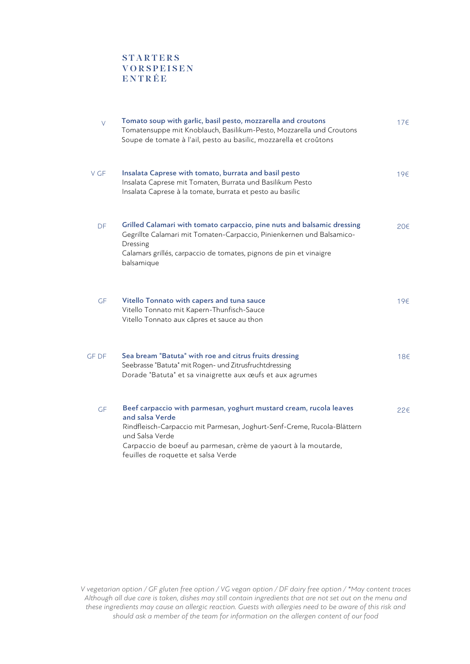#### **STARTERS VORSPEISEN** ENTRÉE

| $\vee$       | Tomato soup with garlic, basil pesto, mozzarella and croutons<br>Tomatensuppe mit Knoblauch, Basilikum-Pesto, Mozzarella und Croutons<br>Soupe de tomate à l'ail, pesto au basilic, mozzarella et croûtons                                                                                   | 17€ |
|--------------|----------------------------------------------------------------------------------------------------------------------------------------------------------------------------------------------------------------------------------------------------------------------------------------------|-----|
| V GF         | Insalata Caprese with tomato, burrata and basil pesto<br>Insalata Caprese mit Tomaten, Burrata und Basilikum Pesto<br>Insalata Caprese à la tomate, burrata et pesto au basilic                                                                                                              | 19€ |
| DF           | Grilled Calamari with tomato carpaccio, pine nuts and balsamic dressing<br>Gegrillte Calamari mit Tomaten-Carpaccio, Pinienkernen und Balsamico-<br>Dressing<br>Calamars grillés, carpaccio de tomates, pignons de pin et vinaigre<br>balsamique                                             | 20€ |
| GF           | Vitello Tonnato with capers and tuna sauce<br>Vitello Tonnato mit Kapern-Thunfisch-Sauce<br>Vitello Tonnato aux câpres et sauce au thon                                                                                                                                                      | 19€ |
| <b>GF DF</b> | Sea bream "Batuta" with roe and citrus fruits dressing<br>Seebrasse "Batuta" mit Rogen- und Zitrusfruchtdressing<br>Dorade "Batuta" et sa vinaigrette aux œufs et aux agrumes                                                                                                                | 18€ |
| GF           | Beef carpaccio with parmesan, yoghurt mustard cream, rucola leaves<br>and salsa Verde<br>Rindfleisch-Carpaccio mit Parmesan, Joghurt-Senf-Creme, Rucola-Blättern<br>und Salsa Verde<br>Carpaccio de boeuf au parmesan, crème de yaourt à la moutarde,<br>feuilles de roquette et salsa Verde | 22€ |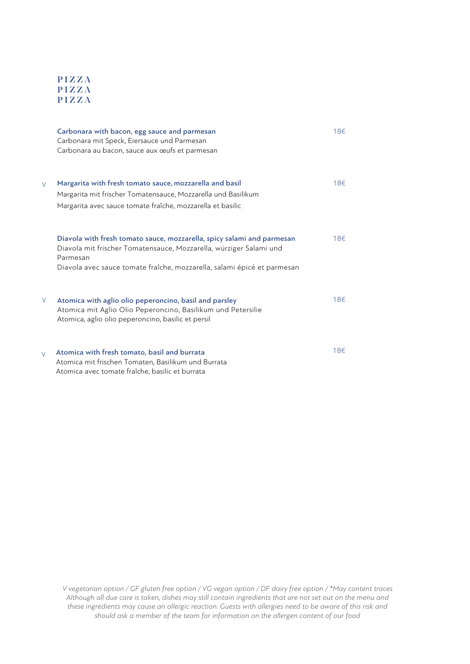### P I Z Z A P I Z Z A P I Z Z A

|        | Carbonara with bacon, egg sauce and parmesan<br>Carbonara mit Speck, Eiersauce und Parmesan<br>Carbonara au bacon, sauce aux œufs et parmesan                                                                                       | 18€ |
|--------|-------------------------------------------------------------------------------------------------------------------------------------------------------------------------------------------------------------------------------------|-----|
| V      | Margarita with fresh tomato sauce, mozzarella and basil<br>Margarita mit frischer Tomatensauce, Mozzarella und Basilikum<br>Margarita avec sauce tomate fraîche, mozzarella et basilic                                              | 18€ |
|        | Diavola with fresh tomato sauce, mozzarella, spicy salami and parmesan<br>Diavola mit frischer Tomatensauce, Mozzarella, würziger Salami und<br>Parmesan<br>Diavola avec sauce tomate fraîche, mozzarella, salami épicé et parmesan | 18€ |
| V      | Atomica with aglio olio peperoncino, basil and parsley<br>Atomica mit Aglio Olio Peperoncino, Basilikum und Petersilie<br>Atomica, aglio olio peperoncino, basilic et persil                                                        | 18€ |
| $\vee$ | Atomica with fresh tomato, basil and burrata<br>Atomica mit frischen Tomaten, Basilikum und Burrata<br>Atomica avec tomate fraîche, basilic et burrata                                                                              | 18€ |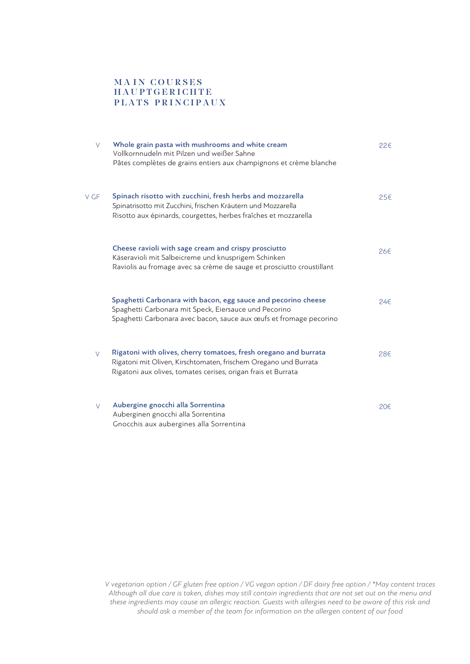#### MAIN COURSES H A U P T G E R I C H T E PLATS PRINCIPAUX

| $\vee$ | Whole grain pasta with mushrooms and white cream<br>Vollkornnudeln mit Pilzen und weißer Sahne<br>Pâtes complètes de grains entiers aux champignons et crème blanche                                  | 22€ |
|--------|-------------------------------------------------------------------------------------------------------------------------------------------------------------------------------------------------------|-----|
| V GF   | Spinach risotto with zucchini, fresh herbs and mozzarella<br>Spinatrisotto mit Zucchini, frischen Kräutern und Mozzarella<br>Risotto aux épinards, courgettes, herbes fraîches et mozzarella          | 25€ |
|        | Cheese ravioli with sage cream and crispy prosciutto<br>Käseravioli mit Salbeicreme und knusprigem Schinken<br>Raviolis au fromage avec sa crème de sauge et prosciutto croustillant                  | 26€ |
|        | Spaghetti Carbonara with bacon, egg sauce and pecorino cheese<br>Spaghetti Carbonara mit Speck, Eiersauce und Pecorino<br>Spaghetti Carbonara avec bacon, sauce aux œufs et fromage pecorino          | 24€ |
| $\vee$ | Rigatoni with olives, cherry tomatoes, fresh oregano and burrata<br>Rigatoni mit Oliven, Kirschtomaten, frischem Oregano und Burrata<br>Rigatoni aux olives, tomates cerises, origan frais et Burrata | 28€ |
| V      | Aubergine gnocchi alla Sorrentina<br>Auberginen gnocchi alla Sorrentina<br>Gnocchis aux aubergines alla Sorrentina                                                                                    | 20€ |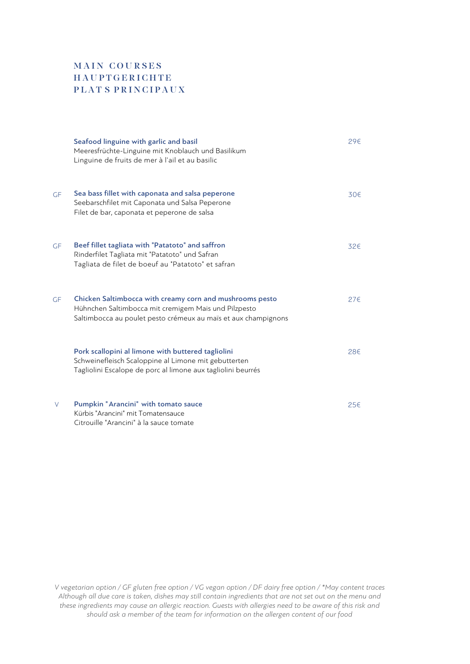# MAIN COURSES **HAUPTGERICHTE** PLAT S PRINCIPAUX

|    | Seafood linguine with garlic and basil<br>Meeresfrüchte-Linguine mit Knoblauch und Basilikum<br>Linguine de fruits de mer à l'ail et au basilic                                    | 29€             |
|----|------------------------------------------------------------------------------------------------------------------------------------------------------------------------------------|-----------------|
| GF | Sea bass fillet with caponata and salsa peperone<br>Seebarschfilet mit Caponata und Salsa Peperone<br>Filet de bar, caponata et peperone de salsa                                  | 30€             |
| GF | Beef fillet tagliata with "Patatoto" and saffron<br>Rinderfilet Tagliata mit "Patatoto" und Safran<br>Tagliata de filet de boeuf au "Patatoto" et safran                           | 32€             |
| GF | Chicken Saltimbocca with creamy corn and mushrooms pesto<br>Hühnchen Saltimbocca mit cremigem Mais und Pilzpesto<br>Saltimbocca au poulet pesto crémeux au maïs et aux champignons | 27 <sup>2</sup> |
|    | Pork scallopini al limone with buttered tagliolini<br>Schweinefleisch Scaloppine al Limone mit gebutterten<br>Tagliolini Escalope de porc al limone aux tagliolini beurrés         | 28€             |
| V  | Pumpkin "Arancini" with tomato sauce<br>Kürbis "Arancini" mit Tomatensauce<br>Citrouille "Arancini" à la sauce tomate                                                              | 25€             |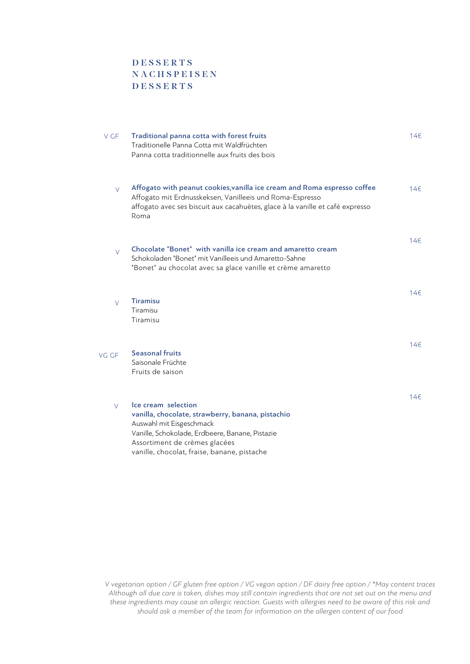## DESSERTS **NACHSPEISEN** DESSERTS

| V GF   | Traditional panna cotta with forest fruits<br>Traditionelle Panna Cotta mit Waldfrüchten<br>Panna cotta traditionnelle aux fruits des bois                                                                                              | 14€ |
|--------|-----------------------------------------------------------------------------------------------------------------------------------------------------------------------------------------------------------------------------------------|-----|
| $\vee$ | Affogato with peanut cookies, vanilla ice cream and Roma espresso coffee<br>Affogato mit Erdnusskeksen, Vanilleeis und Roma-Espresso<br>affogato avec ses biscuit aux cacahuètes, glace à la vanille et café expresso<br>Roma           | 14€ |
| $\vee$ | Chocolate "Bonet" with vanilla ice cream and amaretto cream<br>Schokoladen "Bonet" mit Vanilleeis und Amaretto-Sahne<br>"Bonet" au chocolat avec sa glace vanille et crème amaretto                                                     | 14€ |
| $\vee$ | <b>Tiramisu</b><br>Tiramisu<br>Tiramisu                                                                                                                                                                                                 | 14€ |
| VG GF  | <b>Seasonal fruits</b><br>Saisonale Früchte<br>Fruits de saison                                                                                                                                                                         | 14€ |
| $\vee$ | Ice cream selection<br>vanilla, chocolate, strawberry, banana, pistachio<br>Auswahl mit Eisgeschmack<br>Vanille, Schokolade, Erdbeere, Banane, Pistazie<br>Assortiment de crèmes glacées<br>vanille, chocolat, fraise, banane, pistache | 14€ |